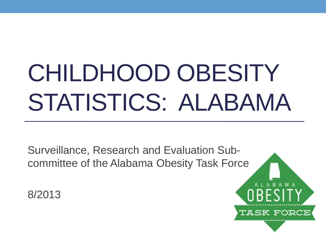# CHILDHOOD OBESITY STATISTICS: ALABAMA

Surveillance, Research and Evaluation Subcommittee of the Alabama Obesity Task Force

8/2013

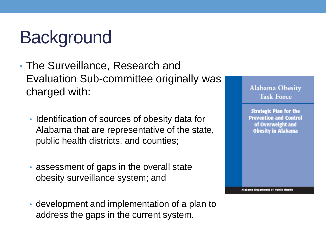# **Background**

- The Surveillance, Research and Evaluation Sub-committee originally was charged with:
	- Identification of sources of obesity data for Alabama that are representative of the state, public health districts, and counties;
	- assessment of gaps in the overall state obesity surveillance system; and
	- development and implementation of a plan to address the gaps in the current system.



**Strategic Plan for the Prevention and Control** of Overweight and **Obesity in Alabama** 

**Alabama Department of Public Health**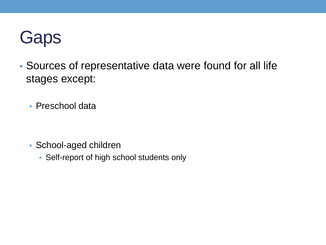

- Sources of representative data were found for all life stages except:
	- Preschool data

- School-aged children
	- Self-report of high school students only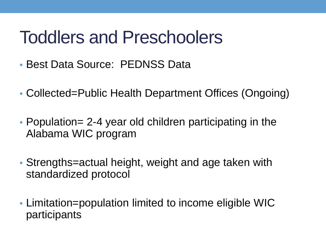### Toddlers and Preschoolers

- Best Data Source: PEDNSS Data
- Collected=Public Health Department Offices (Ongoing)
- Population= 2-4 year old children participating in the Alabama WIC program
- Strengths=actual height, weight and age taken with standardized protocol
- Limitation=population limited to income eligible WIC participants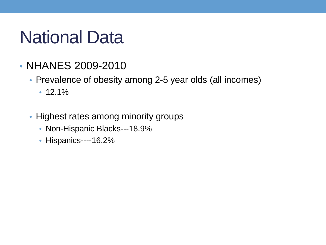# National Data

- NHANES 2009-2010
	- Prevalence of obesity among 2-5 year olds (all incomes)
		- 12.1%
	- Highest rates among minority groups
		- Non-Hispanic Blacks---18.9%
		- Hispanics----16.2%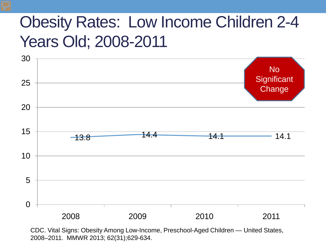#### Obesity Rates: Low Income Children 2-4 Years Old; 2008-2011



CDC. Vital Signs: Obesity Among Low-Income, Preschool-Aged Children — United States, 2008–2011. MMWR 2013; 62(31);629-634.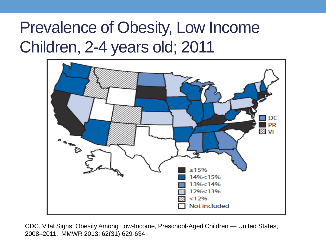#### Prevalence of Obesity, Low Income Children, 2-4 years old; 2011



CDC. Vital Signs: Obesity Among Low-Income, Preschool-Aged Children — United States, 2008–2011. MMWR 2013; 62(31);629-634.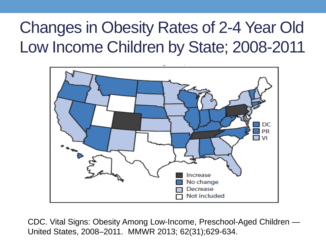#### Changes in Obesity Rates of 2-4 Year Old Low Income Children by State; 2008-2011



CDC. Vital Signs: Obesity Among Low-Income, Preschool-Aged Children — United States, 2008–2011. MMWR 2013; 62(31);629-634.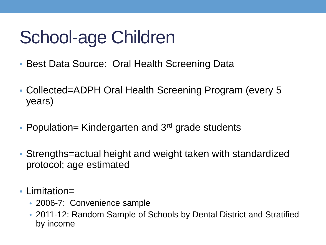# School-age Children

- Best Data Source: Oral Health Screening Data
- Collected=ADPH Oral Health Screening Program (every 5 years)
- Population= Kindergarten and 3<sup>rd</sup> grade students
- Strengths=actual height and weight taken with standardized protocol; age estimated
- Limitation=
	- 2006-7: Convenience sample
	- 2011-12: Random Sample of Schools by Dental District and Stratified by income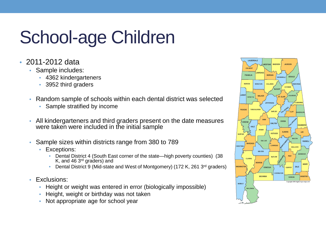# School-age Children

- 2011-2012 data
	- Sample includes:
		- 4362 kindergarteners
		- 3952 third graders
	- Random sample of schools within each dental district was selected
		- Sample stratified by income
	- All kindergarteners and third graders present on the date measures were taken were included in the initial sample
	- Sample sizes within districts range from 380 to 789
		- Exceptions:
			- Dental District 4 (South East corner of the state—high poverty counties) (38 K, and 46 3rd graders) and
			- Dental District 9 (Mid-state and West of Montgomery) (172 K, 261 3<sup>rd</sup> graders)
	- Exclusions:
		- Height or weight was entered in error (biologically impossible)
		- Height, weight or birthday was not taken
		- Not appropriate age for school year

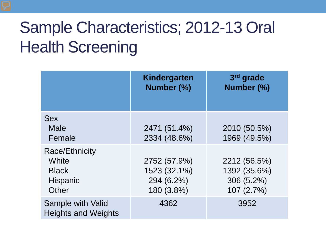### Sample Characteristics; 2012-13 Oral Health Screening

|                                                                            | Kindergarten<br>Number (%)                               | 3rd grade<br>Number (%)                                  |
|----------------------------------------------------------------------------|----------------------------------------------------------|----------------------------------------------------------|
| <b>Sex</b><br><b>Male</b><br>Female                                        | 2471 (51.4%)<br>2334 (48.6%)                             | 2010 (50.5%)<br>1969 (49.5%)                             |
| <b>Race/Ethnicity</b><br>White<br><b>Black</b><br><b>Hispanic</b><br>Other | 2752 (57.9%)<br>1523 (32.1%)<br>294 (6.2%)<br>180 (3.8%) | 2212 (56.5%)<br>1392 (35.6%)<br>306 (5.2%)<br>107 (2.7%) |
| Sample with Valid<br><b>Heights and Weights</b>                            | 4362                                                     | 3952                                                     |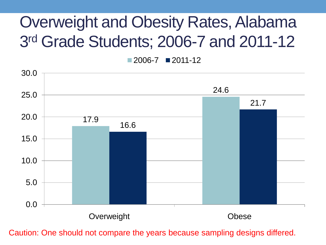#### Overweight and Obesity Rates, Alabama 3rd Grade Students; 2006-7 and 2011-12

 $2006 - 7$  2011-12



Caution: One should not compare the years because sampling designs differed.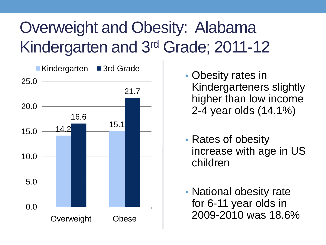### Overweight and Obesity: Alabama Kindergarten and 3rd Grade; 2011-12



- Obesity rates in Kindergarteners slightly higher than low income 2-4 year olds (14.1%)
- Rates of obesity increase with age in US children
- National obesity rate for 6-11 year olds in 2009-2010 was 18.6%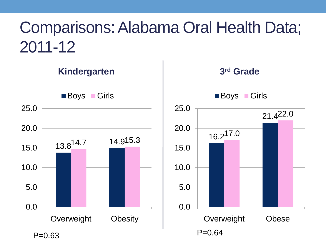#### Comparisons: Alabama Oral Health Data; 2011-12

**Kindergarten** 13.814.7 14.915.3 0.0 5.0 10.0 15.0 20.0 25.0 Overweight Obesity ■ Boys ■ Girls  $P=0.63$  P=0.64

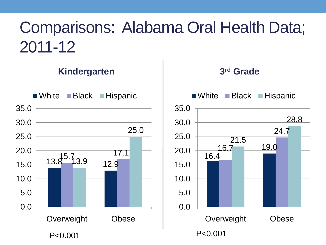#### Comparisons: Alabama Oral Health Data; 2011-12

#### **Kindergarten**



#### **3rd Grade**

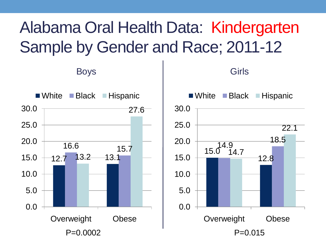#### Alabama Oral Health Data: Kindergarten Sample by Gender and Race; 2011-12

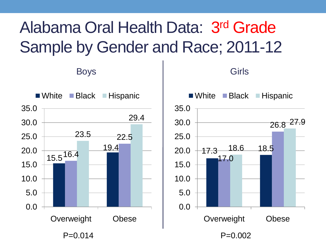#### Alabama Oral Health Data: 3rd Grade Sample by Gender and Race; 2011-12

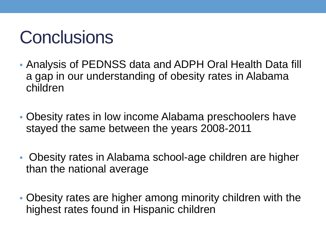# **Conclusions**

- Analysis of PEDNSS data and ADPH Oral Health Data fill a gap in our understanding of obesity rates in Alabama children
- Obesity rates in low income Alabama preschoolers have stayed the same between the years 2008-2011
- Obesity rates in Alabama school-age children are higher than the national average
- Obesity rates are higher among minority children with the highest rates found in Hispanic children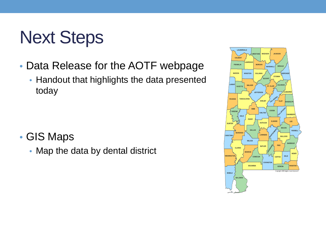# Next Steps

- Data Release for the AOTF webpage
	- Handout that highlights the data presented today

- GIS Maps
	- Map the data by dental district